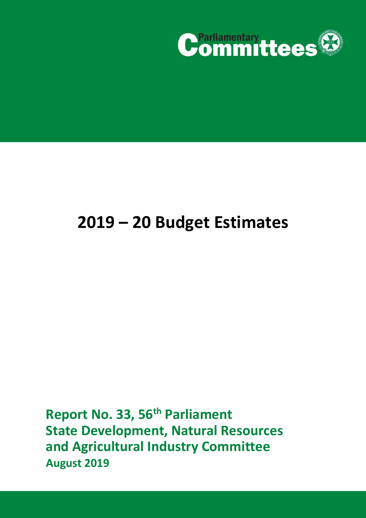

# **2019 – 20 Budget Estimates**

**Report No. 33, 56th Parliament State Development, Natural Resources and Agricultural Industry Committee August 2019**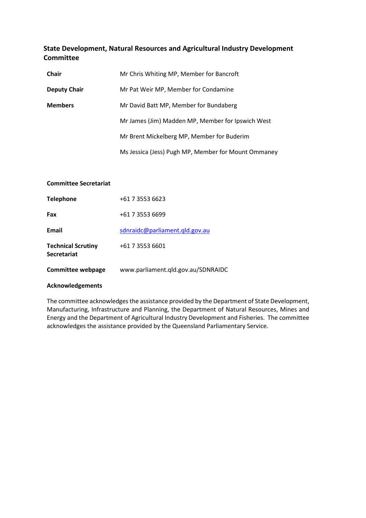# **State Development, Natural Resources and Agricultural Industry Development Committee**

| Chair               | Mr Chris Whiting MP, Member for Bancroft            |  |
|---------------------|-----------------------------------------------------|--|
| <b>Deputy Chair</b> | Mr Pat Weir MP, Member for Condamine                |  |
| <b>Members</b>      | Mr David Batt MP, Member for Bundaberg              |  |
|                     | Mr James (Jim) Madden MP, Member for Ipswich West   |  |
|                     | Mr Brent Mickelberg MP, Member for Buderim          |  |
|                     | Ms Jessica (Jess) Pugh MP, Member for Mount Ommaney |  |

#### **Committee Secretariat**

| <b>Technical Scrutiny</b><br><b>Secretariat</b> | +61 7 3553 6601                |
|-------------------------------------------------|--------------------------------|
| Email                                           | sdnraidc@parliament.gld.gov.au |
| Fax                                             | +61 7 3553 6699                |
| <b>Telephone</b>                                | +61 7 3553 6623                |

#### **Acknowledgements**

The committee acknowledges the assistance provided by the Department of State Development, Manufacturing, Infrastructure and Planning, the Department of Natural Resources, Mines and Energy and the Department of Agricultural Industry Development and Fisheries. The committee acknowledges the assistance provided by the Queensland Parliamentary Service.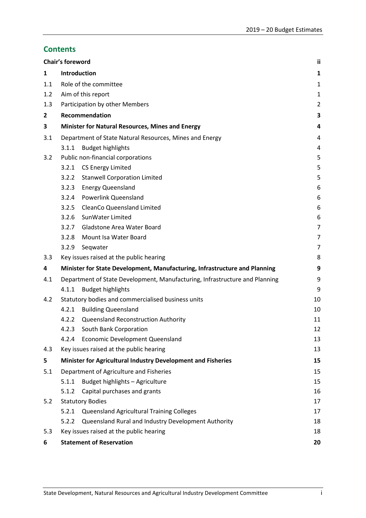# **Contents**

|              | Chair's foreword                |                                                                             | ii             |
|--------------|---------------------------------|-----------------------------------------------------------------------------|----------------|
| 1            | Introduction                    |                                                                             | 1              |
| 1.1          |                                 | Role of the committee                                                       | 1              |
| 1.2          |                                 | Aim of this report                                                          | 1              |
| 1.3          |                                 | Participation by other Members                                              | $\overline{2}$ |
| $\mathbf{2}$ |                                 | Recommendation                                                              | 3              |
| 3            |                                 | Minister for Natural Resources, Mines and Energy                            | 4              |
| 3.1          |                                 | Department of State Natural Resources, Mines and Energy                     | $\overline{4}$ |
|              | 3.1.1                           | <b>Budget highlights</b>                                                    | 4              |
| 3.2          |                                 | Public non-financial corporations                                           | 5              |
|              | 3.2.1                           | <b>CS Energy Limited</b>                                                    | 5              |
|              | 3.2.2                           | <b>Stanwell Corporation Limited</b>                                         | 5              |
|              | 3.2.3                           | <b>Energy Queensland</b>                                                    | 6              |
|              | 3.2.4                           | <b>Powerlink Queensland</b>                                                 | 6              |
|              | 3.2.5                           | <b>CleanCo Queensland Limited</b>                                           | 6              |
|              | 3.2.6                           | SunWater Limited                                                            | 6              |
|              | 3.2.7                           | <b>Gladstone Area Water Board</b>                                           | $\overline{7}$ |
|              | 3.2.8                           | Mount Isa Water Board                                                       | 7              |
|              | 3.2.9                           | Seqwater                                                                    | 7              |
| 3.3          |                                 | Key issues raised at the public hearing                                     | 8              |
| 4            |                                 | Minister for State Development, Manufacturing, Infrastructure and Planning  | 9              |
| 4.1          |                                 | Department of State Development, Manufacturing, Infrastructure and Planning | 9              |
|              | 4.1.1                           | <b>Budget highlights</b>                                                    | 9              |
| 4.2          |                                 | Statutory bodies and commercialised business units                          | 10             |
|              | 4.2.1                           | <b>Building Queensland</b>                                                  | 10             |
|              | 4.2.2                           | <b>Queensland Reconstruction Authority</b>                                  | 11             |
|              | 4.2.3                           | South Bank Corporation                                                      | 12             |
|              | 4.2.4                           | <b>Economic Development Queensland</b>                                      | 13             |
| 4.3          |                                 | Key issues raised at the public hearing                                     | 13             |
| 5            |                                 | Minister for Agricultural Industry Development and Fisheries                | 15             |
| 5.1          |                                 | Department of Agriculture and Fisheries                                     | 15             |
|              | 5.1.1                           | Budget highlights - Agriculture                                             | 15             |
|              | 5.1.2                           | Capital purchases and grants                                                | 16             |
| 5.2          |                                 | <b>Statutory Bodies</b>                                                     | 17             |
|              | 5.2.1                           | Queensland Agricultural Training Colleges                                   | 17             |
|              | 5.2.2                           | Queensland Rural and Industry Development Authority                         | 18             |
| 5.3          |                                 | Key issues raised at the public hearing                                     | 18             |
| 6            | <b>Statement of Reservation</b> |                                                                             | 20             |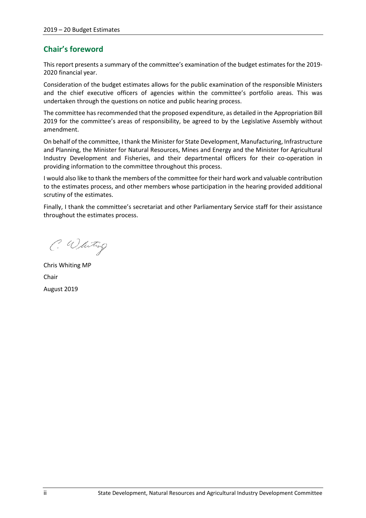# <span id="page-3-0"></span>**Chair's foreword**

This report presents a summary of the committee's examination of the budget estimates for the 2019- 2020 financial year.

Consideration of the budget estimates allows for the public examination of the responsible Ministers and the chief executive officers of agencies within the committee's portfolio areas. This was undertaken through the questions on notice and public hearing process.

The committee has recommended that the proposed expenditure, as detailed in the Appropriation Bill 2019 for the committee's areas of responsibility, be agreed to by the Legislative Assembly without amendment.

On behalf of the committee, I thank the Minister for State Development, Manufacturing, Infrastructure and Planning, the Minister for Natural Resources, Mines and Energy and the Minister for Agricultural Industry Development and Fisheries, and their departmental officers for their co-operation in providing information to the committee throughout this process.

I would also like to thank the members of the committee for their hard work and valuable contribution to the estimates process, and other members whose participation in the hearing provided additional scrutiny of the estimates.

Finally, I thank the committee's secretariat and other Parliamentary Service staff for their assistance throughout the estimates process.

C. Whiting

Chris Whiting MP Chair August 2019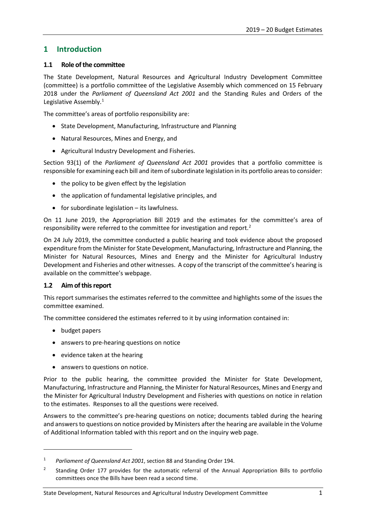# <span id="page-4-0"></span>**1 Introduction**

## <span id="page-4-1"></span>**1.1 Role of the committee**

The State Development, Natural Resources and Agricultural Industry Development Committee (committee) is a portfolio committee of the Legislative Assembly which commenced on 15 February 2018 under the *Parliament of Queensland Act 2001* and the Standing Rules and Orders of the Legislative Assembly.<sup>[1](#page-4-3)</sup>

The committee's areas of portfolio responsibility are:

- State Development, Manufacturing, Infrastructure and Planning
- Natural Resources, Mines and Energy, and
- Agricultural Industry Development and Fisheries.

Section 93(1) of the *Parliament of Queensland Act 2001* provides that a portfolio committee is responsible for examining each bill and item of subordinate legislation in its portfolio areas to consider:

- the policy to be given effect by the legislation
- the application of fundamental legislative principles, and
- for subordinate legislation its lawfulness.

On 11 June 2019, the Appropriation Bill 2019 and the estimates for the committee's area of responsibility were referred to the committee for investigation and report.<sup>[2](#page-4-4)</sup>

On 24 July 2019, the committee conducted a public hearing and took evidence about the proposed expenditure from the Minister for State Development, Manufacturing, Infrastructure and Planning, the Minister for Natural Resources, Mines and Energy and the Minister for Agricultural Industry Development and Fisheries and other witnesses. A copy of the transcript of the committee's hearing is available on the committee's webpage.

#### <span id="page-4-2"></span>**1.2 Aim of this report**

This report summarises the estimates referred to the committee and highlights some of the issues the committee examined.

The committee considered the estimates referred to it by using information contained in:

• budget papers

**.** 

- answers to pre-hearing questions on notice
- evidence taken at the hearing
- answers to questions on notice.

Prior to the public hearing, the committee provided the Minister for State Development, Manufacturing, Infrastructure and Planning, the Minister for Natural Resources, Mines and Energy and the Minister for Agricultural Industry Development and Fisheries with questions on notice in relation to the estimates. Responses to all the questions were received.

Answers to the committee's pre-hearing questions on notice; documents tabled during the hearing and answers to questions on notice provided by Ministers after the hearing are available in the Volume of Additional Information tabled with this report and on the inquiry web page.

<span id="page-4-3"></span><sup>1</sup> *Parliament of Queensland Act 2001*, section 88 and Standing Order 194.

<span id="page-4-4"></span><sup>2</sup> Standing Order 177 provides for the automatic referral of the Annual Appropriation Bills to portfolio committees once the Bills have been read a second time.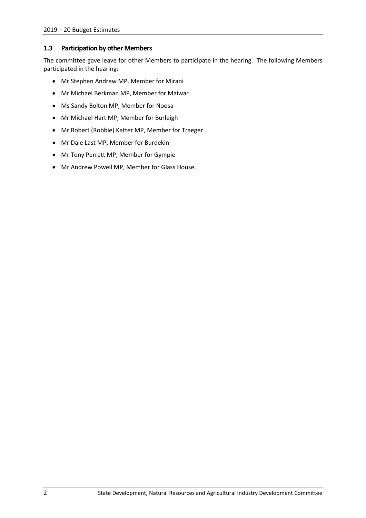# <span id="page-5-0"></span>**1.3 Participation by other Members**

The committee gave leave for other Members to participate in the hearing. The following Members participated in the hearing:

- Mr Stephen Andrew MP, Member for Mirani
- Mr Michael Berkman MP, Member for Maiwar
- Ms Sandy Bolton MP, Member for Noosa
- Mr Michael Hart MP, Member for Burleigh
- Mr Robert (Robbie) Katter MP, Member for Traeger
- Mr Dale Last MP, Member for Burdekin
- Mr Tony Perrett MP, Member for Gympie
- Mr Andrew Powell MP, Member for Glass House.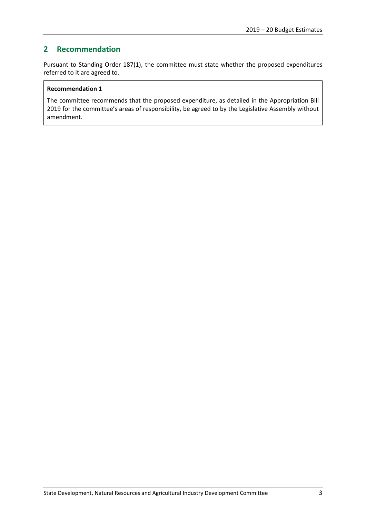# <span id="page-6-0"></span>**2 Recommendation**

Pursuant to Standing Order 187(1), the committee must state whether the proposed expenditures referred to it are agreed to.

#### **Recommendation 1**

The committee recommends that the proposed expenditure, as detailed in the Appropriation Bill 2019 for the committee's areas of responsibility, be agreed to by the Legislative Assembly without amendment.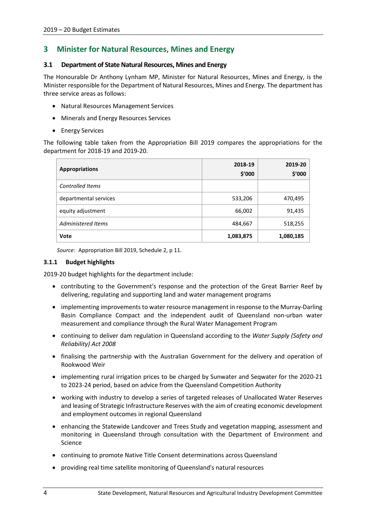# <span id="page-7-0"></span>**3 Minister for Natural Resources, Mines and Energy**

## <span id="page-7-1"></span>**3.1 Department of State Natural Resources, Mines and Energy**

The Honourable Dr Anthony Lynham MP, Minister for Natural Resources, Mines and Energy, is the Minister responsible for the Department of Natural Resources, Mines and Energy. The department has three service areas as follows:

- Natural Resources Management Services
- Minerals and Energy Resources Services
- Energy Services

The following table taken from the Appropriation Bill 2019 compares the appropriations for the department for 2018-19 and 2019-20.

| <b>Appropriations</b>   | 2018-19<br>\$'000 | 2019-20<br>\$'000 |
|-------------------------|-------------------|-------------------|
| <b>Controlled Items</b> |                   |                   |
| departmental services   | 533,206           | 470,495           |
| equity adjustment       | 66,002            | 91,435            |
| Administered Items      | 484,667           | 518,255           |
| <b>Vote</b>             | 1,083,875         | 1,080,185         |

*Source*: Appropriation Bill 2019, Schedule 2, p 11.

#### <span id="page-7-2"></span>**3.1.1 Budget highlights**

2019-20 budget highlights for the department include:

- contributing to the Government's response and the protection of the Great Barrier Reef by delivering, regulating and supporting land and water management programs
- implementing improvements to water resource management in response to the Murray-Darling Basin Compliance Compact and the independent audit of Queensland non-urban water measurement and compliance through the Rural Water Management Program
- continuing to deliver dam regulation in Queensland according to the *Water Supply (Safety and Reliability) Act 2008*
- finalising the partnership with the Australian Government for the delivery and operation of Rookwood Weir
- implementing rural irrigation prices to be charged by Sunwater and Seqwater for the 2020-21 to 2023-24 period, based on advice from the Queensland Competition Authority
- working with industry to develop a series of targeted releases of Unallocated Water Reserves and leasing of Strategic Infrastructure Reserves with the aim of creating economic development and employment outcomes in regional Queensland
- enhancing the Statewide Landcover and Trees Study and vegetation mapping, assessment and monitoring in Queensland through consultation with the Department of Environment and Science
- continuing to promote Native Title Consent determinations across Queensland
- providing real time satellite monitoring of Queensland's natural resources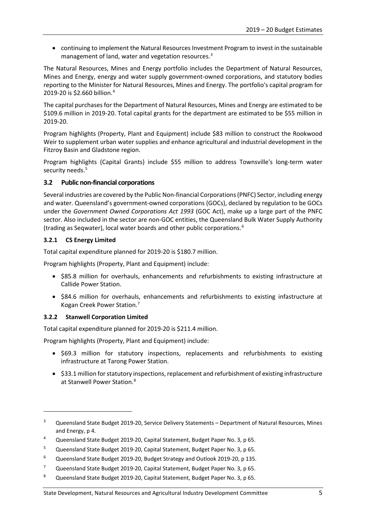• continuing to implement the Natural Resources Investment Program to invest in the sustainable management of land, water and vegetation resources.<sup>[3](#page-8-3)</sup>

The Natural Resources, Mines and Energy portfolio includes the Department of Natural Resources, Mines and Energy, energy and water supply government-owned corporations, and statutory bodies reporting to the Minister for Natural Resources, Mines and Energy. The portfolio's capital program for 2019-20 is \$2.660 billion[.4](#page-8-4)

The capital purchases for the Department of Natural Resources, Mines and Energy are estimated to be \$109.6 million in 2019-20. Total capital grants for the department are estimated to be \$55 million in 2019-20.

Program highlights (Property, Plant and Equipment) include \$83 million to construct the Rookwood Weir to supplement urban water supplies and enhance agricultural and industrial development in the Fitzroy Basin and Gladstone region.

Program highlights (Capital Grants) include \$55 million to address Townsville's long-term water security needs.<sup>[5](#page-8-5)</sup>

# <span id="page-8-0"></span>**3.2 Public non-financial corporations**

Several industries are covered by the Public Non-financial Corporations (PNFC) Sector, including energy and water. Queensland's government-owned corporations (GOCs), declared by regulation to be GOCs under the *Government Owned Corporations Act 1993* (GOC Act), make up a large part of the PNFC sector. Also included in the sector are non-GOC entities, the Queensland Bulk Water Supply Authority (trading as Seqwater), local water boards and other public corporations.[6](#page-8-6)

# <span id="page-8-1"></span>**3.2.1 CS Energy Limited**

1

Total capital expenditure planned for 2019-20 is \$180.7 million.

Program highlights (Property, Plant and Equipment) include:

- \$85.8 million for overhauls, enhancements and refurbishments to existing infrastructure at Callide Power Station.
- \$84.6 million for overhauls, enhancements and refurbishments to existing infastructure at Kogan Creek Power Station.[7](#page-8-7)

# <span id="page-8-2"></span>**3.2.2 Stanwell Corporation Limited**

Total capital expenditure planned for 2019-20 is \$211.4 million.

Program highlights (Property, Plant and Equipment) include:

- \$69.3 million for statutory inspections, replacements and refurbishments to existing infrastructure at Tarong Power Station.
- \$33.1 million for statutory inspections, replacement and refurbishment of existing infrastructure at Stanwell Power Station.[8](#page-8-8)

<span id="page-8-3"></span><sup>&</sup>lt;sup>3</sup> Queensland State Budget 2019-20, Service Delivery Statements – Department of Natural Resources, Mines and Energy, p 4.

<span id="page-8-4"></span><sup>&</sup>lt;sup>4</sup> Queensland State Budget 2019-20, Capital Statement, Budget Paper No. 3, p 65.

<span id="page-8-5"></span><sup>5</sup> Queensland State Budget 2019-20, Capital Statement, Budget Paper No. 3, p 65.

<span id="page-8-6"></span><sup>6</sup> Queensland State Budget 2019-20, Budget Strategy and Outlook 2019-20, p 135.

<span id="page-8-7"></span><sup>7</sup> Queensland State Budget 2019-20, Capital Statement, Budget Paper No. 3, p 65.

<span id="page-8-8"></span><sup>8</sup> Queensland State Budget 2019-20, Capital Statement, Budget Paper No. 3, p 65.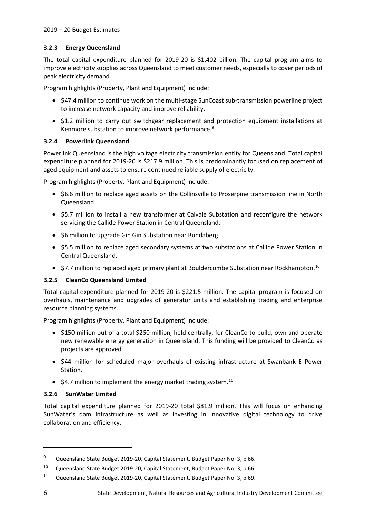# <span id="page-9-0"></span>**3.2.3 Energy Queensland**

The total capital expenditure planned for 2019-20 is \$1.402 billion. The capital program aims to improve electricity supplies across Queensland to meet customer needs, especially to cover periods of peak electricity demand.

Program highlights (Property, Plant and Equipment) include:

- \$47.4 million to continue work on the multi-stage SunCoast sub-transmission powerline project to increase network capacity and improve reliability.
- \$1.2 million to carry out switchgear replacement and protection equipment installations at Kenmore substation to improve network performance.<sup>[9](#page-9-4)</sup>

#### <span id="page-9-1"></span>**3.2.4 Powerlink Queensland**

Powerlink Queensland is the high voltage electricity transmission entity for Queensland. Total capital expenditure planned for 2019-20 is \$217.9 million. This is predominantly focused on replacement of aged equipment and assets to ensure continued reliable supply of electricity.

Program highlights (Property, Plant and Equipment) include:

- \$6.6 million to replace aged assets on the Collinsville to Proserpine transmission line in North Queensland.
- \$5.7 million to install a new transformer at Calvale Substation and reconfigure the network servicing the Callide Power Station in Central Queensland.
- \$6 million to upgrade Gin Gin Substation near Bundaberg.
- \$5.5 million to replace aged secondary systems at two substations at Callide Power Station in Central Queensland.
- \$7.7 million to replaced aged primary plant at Bouldercombe Substation near Rockhampton.<sup>[10](#page-9-5)</sup>

#### <span id="page-9-2"></span>**3.2.5 CleanCo Queensland Limited**

Total capital expenditure planned for 2019-20 is \$221.5 million. The capital program is focused on overhauls, maintenance and upgrades of generator units and establishing trading and enterprise resource planning systems.

Program highlights (Property, Plant and Equipment) include:

- \$150 million out of a total \$250 million, held centrally, for CleanCo to build, own and operate new renewable energy generation in Queensland. This funding will be provided to CleanCo as projects are approved.
- \$44 million for scheduled major overhauls of existing infrastructure at Swanbank E Power Station.
- \$4.7 million to implement the energy market trading system.<sup>[11](#page-9-6)</sup>

#### <span id="page-9-3"></span>**3.2.6 SunWater Limited**

Total capital expenditure planned for 2019-20 total \$81.9 million. This will focus on enhancing SunWater's dam infrastructure as well as investing in innovative digital technology to drive collaboration and efficiency.

 $\overline{a}$ 

<span id="page-9-4"></span><sup>&</sup>lt;sup>9</sup> Queensland State Budget 2019-20, Capital Statement, Budget Paper No. 3, p 66.

<span id="page-9-5"></span><sup>&</sup>lt;sup>10</sup> Queensland State Budget 2019-20, Capital Statement, Budget Paper No. 3, p 66.

<span id="page-9-6"></span><sup>11</sup> Queensland State Budget 2019-20, Capital Statement, Budget Paper No. 3, p 69.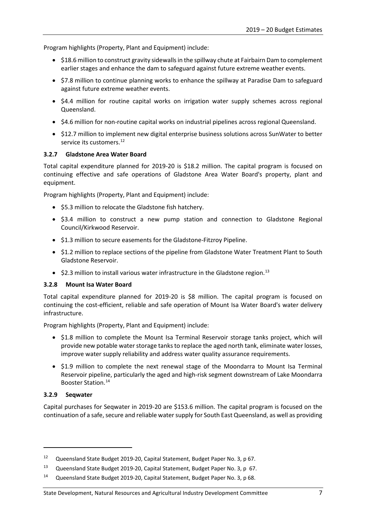Program highlights (Property, Plant and Equipment) include:

- \$18.6 million to construct gravity sidewalls in the spillway chute at Fairbairn Dam to complement earlier stages and enhance the dam to safeguard against future extreme weather events.
- \$7.8 million to continue planning works to enhance the spillway at Paradise Dam to safeguard against future extreme weather events.
- \$4.4 million for routine capital works on irrigation water supply schemes across regional Queensland.
- \$4.6 million for non-routine capital works on industrial pipelines across regional Queensland.
- \$12.7 million to implement new digital enterprise business solutions across SunWater to better service its customers.<sup>[12](#page-10-3)</sup>

#### <span id="page-10-0"></span>**3.2.7 Gladstone Area Water Board**

Total capital expenditure planned for 2019-20 is \$18.2 million. The capital program is focused on continuing effective and safe operations of Gladstone Area Water Board's property, plant and equipment.

Program highlights (Property, Plant and Equipment) include:

- \$5.3 million to relocate the Gladstone fish hatchery.
- \$3.4 million to construct a new pump station and connection to Gladstone Regional Council/Kirkwood Reservoir.
- \$1.3 million to secure easements for the Gladstone-Fitzroy Pipeline.
- \$1.2 million to replace sections of the pipeline from Gladstone Water Treatment Plant to South Gladstone Reservoir.
- \$2.3 million to install various water infrastructure in the Gladstone region.<sup>[13](#page-10-4)</sup>

#### <span id="page-10-1"></span>**3.2.8 Mount Isa Water Board**

Total capital expenditure planned for 2019-20 is \$8 million. The capital program is focused on continuing the cost-efficient, reliable and safe operation of Mount Isa Water Board's water delivery infrastructure.

Program highlights (Property, Plant and Equipment) include:

- \$1.8 million to complete the Mount Isa Terminal Reservoir storage tanks project, which will provide new potable water storage tanks to replace the aged north tank, eliminate water losses, improve water supply reliability and address water quality assurance requirements.
- \$1.9 million to complete the next renewal stage of the Moondarra to Mount Isa Terminal Reservoir pipeline, particularly the aged and high-risk segment downstream of Lake Moondarra Booster Station.<sup>[14](#page-10-5)</sup>

#### <span id="page-10-2"></span>**3.2.9 Seqwater**

 $\overline{a}$ 

Capital purchases for Seqwater in 2019-20 are \$153.6 million. The capital program is focused on the continuation of a safe, secure and reliable water supply for South East Queensland, as well as providing

#### State Development, Natural Resources and Agricultural Industry Development Committee 7

<span id="page-10-3"></span><sup>&</sup>lt;sup>12</sup> Queensland State Budget 2019-20, Capital Statement, Budget Paper No. 3, p 67.

<span id="page-10-4"></span><sup>13</sup> Queensland State Budget 2019-20, Capital Statement, Budget Paper No. 3, p 67.

<span id="page-10-5"></span><sup>14</sup> Queensland State Budget 2019-20, Capital Statement, Budget Paper No. 3, p 68.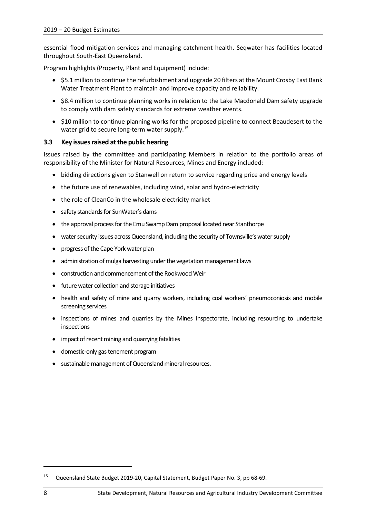essential flood mitigation services and managing catchment health. Seqwater has facilities located throughout South-East Queensland.

Program highlights (Property, Plant and Equipment) include:

- \$5.1 million to continue the refurbishment and upgrade 20 filters at the Mount Crosby East Bank Water Treatment Plant to maintain and improve capacity and reliability.
- \$8.4 million to continue planning works in relation to the Lake Macdonald Dam safety upgrade to comply with dam safety standards for extreme weather events.
- \$10 million to continue planning works for the proposed pipeline to connect Beaudesert to the water grid to secure long-term water supply.<sup>[15](#page-11-1)</sup>

#### <span id="page-11-0"></span>**3.3 Key issues raised at the public hearing**

Issues raised by the committee and participating Members in relation to the portfolio areas of responsibility of the Minister for Natural Resources, Mines and Energy included:

- bidding directions given to Stanwell on return to service regarding price and energy levels
- the future use of renewables, including wind, solar and hydro-electricity
- the role of CleanCo in the wholesale electricity market
- safety standards for SunWater's dams
- the approval process for the Emu Swamp Dam proposal located near Stanthorpe
- water security issues across Queensland, including the security of Townsville's water supply
- progress of the Cape York water plan
- administration of mulga harvesting under the vegetation management laws
- construction and commencement of the Rookwood Weir
- future water collection and storage initiatives
- health and safety of mine and quarry workers, including coal workers' pneumoconiosis and mobile screening services
- inspections of mines and quarries by the Mines Inspectorate, including resourcing to undertake inspections
- impact of recent mining and quarrying fatalities
- domestic-only gas tenement program
- sustainable management of Queensland mineral resources.

 $\overline{a}$ 

<span id="page-11-1"></span><sup>15</sup> Queensland State Budget 2019-20, Capital Statement, Budget Paper No. 3, pp 68-69.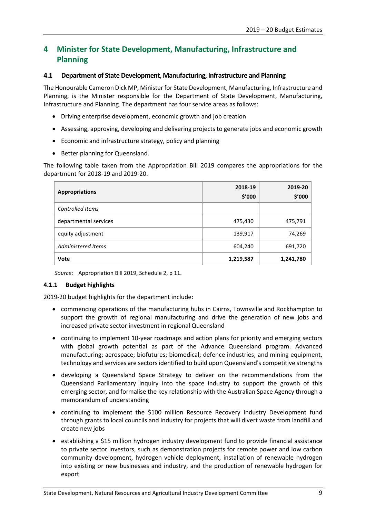# <span id="page-12-0"></span>**4 Minister for State Development, Manufacturing, Infrastructure and Planning**

#### <span id="page-12-1"></span>**4.1 Department of State Development, Manufacturing, Infrastructure and Planning**

The Honourable Cameron Dick MP, Minister for State Development, Manufacturing, Infrastructure and Planning, is the Minister responsible for the Department of State Development, Manufacturing, Infrastructure and Planning. The department has four service areas as follows:

- Driving enterprise development, economic growth and job creation
- Assessing, approving, developing and delivering projects to generate jobs and economic growth
- Economic and infrastructure strategy, policy and planning
- Better planning for Queensland.

The following table taken from the Appropriation Bill 2019 compares the appropriations for the department for 2018-19 and 2019-20.

| <b>Appropriations</b> | 2018-19<br>\$'000 | 2019-20<br>\$′000 |
|-----------------------|-------------------|-------------------|
| Controlled Items      |                   |                   |
| departmental services | 475,430           | 475,791           |
| equity adjustment     | 139,917           | 74,269            |
| Administered Items    | 604,240           | 691,720           |
| Vote                  | 1,219,587         | 1,241,780         |

*Source*: Appropriation Bill 2019, Schedule 2, p 11.

#### <span id="page-12-2"></span>**4.1.1 Budget highlights**

2019-20 budget highlights for the department include:

- commencing operations of the manufacturing hubs in Cairns, Townsville and Rockhampton to support the growth of regional manufacturing and drive the generation of new jobs and increased private sector investment in regional Queensland
- continuing to implement 10-year roadmaps and action plans for priority and emerging sectors with global growth potential as part of the Advance Queensland program. Advanced manufacturing; aerospace; biofutures; biomedical; defence industries; and mining equipment, technology and services are sectors identified to build upon Queensland's competitive strengths
- developing a Queensland Space Strategy to deliver on the recommendations from the Queensland Parliamentary inquiry into the space industry to support the growth of this emerging sector, and formalise the key relationship with the Australian Space Agency through a memorandum of understanding
- continuing to implement the \$100 million Resource Recovery Industry Development fund through grants to local councils and industry for projects that will divert waste from landfill and create new jobs
- establishing a \$15 million hydrogen industry development fund to provide financial assistance to private sector investors, such as demonstration projects for remote power and low carbon community development, hydrogen vehicle deployment, installation of renewable hydrogen into existing or new businesses and industry, and the production of renewable hydrogen for export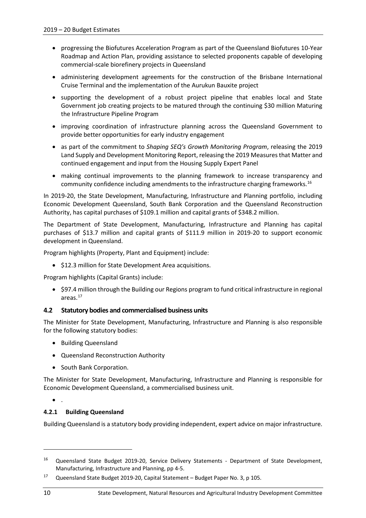- progressing the Biofutures Acceleration Program as part of the Queensland Biofutures 10-Year Roadmap and Action Plan, providing assistance to selected proponents capable of developing commercial-scale biorefinery projects in Queensland
- administering development agreements for the construction of the Brisbane International Cruise Terminal and the implementation of the Aurukun Bauxite project
- supporting the development of a robust project pipeline that enables local and State Government job creating projects to be matured through the continuing \$30 million Maturing the Infrastructure Pipeline Program
- improving coordination of infrastructure planning across the Queensland Government to provide better opportunities for early industry engagement
- as part of the commitment to *Shaping SEQ's Growth Monitoring Program*, releasing the 2019 Land Supply and Development Monitoring Report, releasing the 2019 Measures that Matter and continued engagement and input from the Housing Supply Expert Panel
- making continual improvements to the planning framework to increase transparency and community confidence including amendments to the infrastructure charging frameworks. [16](#page-13-2)

In 2019-20, the State Development, Manufacturing, Infrastructure and Planning portfolio, including Economic Development Queensland, South Bank Corporation and the Queensland Reconstruction Authority, has capital purchases of \$109.1 million and capital grants of \$348.2 million.

The Department of State Development, Manufacturing, Infrastructure and Planning has capital purchases of \$13.7 million and capital grants of \$111.9 million in 2019-20 to support economic development in Queensland.

Program highlights (Property, Plant and Equipment) include:

• \$12.3 million for State Development Area acquisitions.

Program highlights (Capital Grants) include:

• \$97.4 million through the Building our Regions program to fund critical infrastructure in regional areas.[17](#page-13-3)

# <span id="page-13-0"></span>**4.2 Statutory bodies and commercialised business units**

The Minister for State Development, Manufacturing, Infrastructure and Planning is also responsible for the following statutory bodies:

- Building Queensland
- Queensland Reconstruction Authority
- South Bank Corporation.

The Minister for State Development, Manufacturing, Infrastructure and Planning is responsible for Economic Development Queensland, a commercialised business unit.

• .

#### <span id="page-13-1"></span>**4.2.1 Building Queensland**

Building Queensland is a statutory body providing independent, expert advice on major infrastructure.

**.** 

<span id="page-13-2"></span><sup>&</sup>lt;sup>16</sup> Queensland State Budget 2019-20, Service Delivery Statements - Department of State Development, Manufacturing, Infrastructure and Planning, pp 4-5.

<span id="page-13-3"></span><sup>17</sup> Queensland State Budget 2019-20, Capital Statement – Budget Paper No. 3, p 105.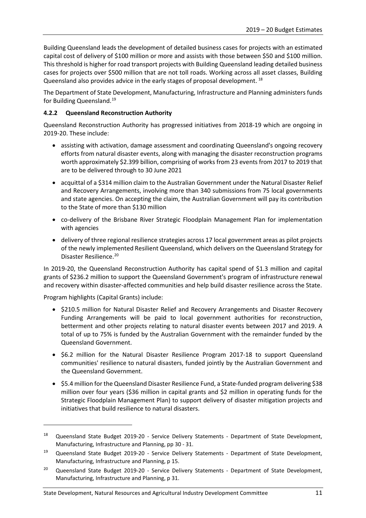Building Queensland leads the development of detailed business cases for projects with an estimated capital cost of delivery of \$100 million or more and assists with those between \$50 and \$100 million. This threshold is higher for road transport projects with Building Queensland leading detailed business cases for projects over \$500 million that are not toll roads. Working across all asset classes, Building Queensland also provides advice in the early stages of proposal development. <sup>[18](#page-14-1)</sup>

The Department of State Development, Manufacturing, Infrastructure and Planning administers funds for Building Queensland.<sup>[19](#page-14-2)</sup>

# <span id="page-14-0"></span>**4.2.2 Queensland Reconstruction Authority**

Queensland Reconstruction Authority has progressed initiatives from 2018-19 which are ongoing in 2019-20. These include:

- assisting with activation, damage assessment and coordinating Queensland's ongoing recovery efforts from natural disaster events, along with managing the disaster reconstruction programs worth approximately \$2.399 billion, comprising of works from 23 events from 2017 to 2019 that are to be delivered through to 30 June 2021
- acquittal of a \$314 million claim to the Australian Government under the Natural Disaster Relief and Recovery Arrangements, involving more than 340 submissions from 75 local governments and state agencies. On accepting the claim, the Australian Government will pay its contribution to the State of more than \$130 million
- co-delivery of the Brisbane River Strategic Floodplain Management Plan for implementation with agencies
- delivery of three regional resilience strategies across 17 local government areas as pilot projects of the newly implemented Resilient Queensland, which delivers on the Queensland Strategy for Disaster Resilience.<sup>[20](#page-14-3)</sup>

In 2019-20, the Queensland Reconstruction Authority has capital spend of \$1.3 million and capital grants of \$236.2 million to support the Queensland Government's program of infrastructure renewal and recovery within disaster-affected communities and help build disaster resilience across the State.

Program highlights (Capital Grants) include:

 $\overline{a}$ 

- \$210.5 million for Natural Disaster Relief and Recovery Arrangements and Disaster Recovery Funding Arrangements will be paid to local government authorities for reconstruction, betterment and other projects relating to natural disaster events between 2017 and 2019. A total of up to 75% is funded by the Australian Government with the remainder funded by the Queensland Government.
- \$6.2 million for the Natural Disaster Resilience Program 2017-18 to support Queensland communities' resilience to natural disasters, funded jointly by the Australian Government and the Queensland Government.
- \$5.4 million for the Queensland Disaster Resilience Fund, a State-funded program delivering \$38 million over four years (\$36 million in capital grants and \$2 million in operating funds for the Strategic Floodplain Management Plan) to support delivery of disaster mitigation projects and initiatives that build resilience to natural disasters.

<span id="page-14-1"></span><sup>&</sup>lt;sup>18</sup> Queensland State Budget 2019-20 - Service Delivery Statements - Department of State Development, Manufacturing, Infrastructure and Planning, pp 30 - 31.

<span id="page-14-2"></span><sup>&</sup>lt;sup>19</sup> Queensland State Budget 2019-20 - Service Delivery Statements - Department of State Development, Manufacturing, Infrastructure and Planning, p 15.

<span id="page-14-3"></span><sup>&</sup>lt;sup>20</sup> Queensland State Budget 2019-20 - Service Delivery Statements - Department of State Development, Manufacturing, Infrastructure and Planning, p 31.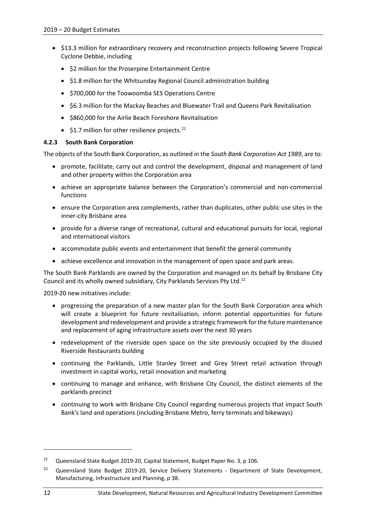- \$13.3 million for extraordinary recovery and reconstruction projects following Severe Tropical Cyclone Debbie, including
	- \$2 million for the Proserpine Entertainment Centre
	- \$1.8 million for the Whitsunday Regional Council administration building
	- \$700,000 for the Toowoomba SES Operations Centre
	- \$6.3 million for the Mackay Beaches and Bluewater Trail and Queens Park Revitalisation
	- \$860,000 for the Airlie Beach Foreshore Revitalisation
	- $$1.7$  million for other resilience projects.<sup>[21](#page-15-1)</sup>

# <span id="page-15-0"></span>**4.2.3 South Bank Corporation**

The objects of the South Bank Corporation, as outlined in the *South Bank Corporation Act 1989*, are to:

- promote, facilitate, carry out and control the development, disposal and management of land and other property within the Corporation area
- achieve an appropriate balance between the Corporation's commercial and non-commercial functions
- ensure the Corporation area complements, rather than duplicates, other public use sites in the inner-city Brisbane area
- provide for a diverse range of recreational, cultural and educational pursuits for local, regional and international visitors
- accommodate public events and entertainment that benefit the general community
- achieve excellence and innovation in the management of open space and park areas.

The South Bank Parklands are owned by the Corporation and managed on its behalf by Brisbane City Council and its wholly owned subsidiary, City Parklands Services Pty Ltd.<sup>[22](#page-15-2)</sup>

2019-20 new initiatives include:

- progressing the preparation of a new master plan for the South Bank Corporation area which will create a blueprint for future revitalisation, inform potential opportunities for future development and redevelopment and provide a strategic framework for the future maintenance and replacement of aging infrastructure assets over the next 30 years
- redevelopment of the riverside open space on the site previously occupied by the disused Riverside Restaurants building
- continuing the Parklands, Little Stanley Street and Grey Street retail activation through investment in capital works, retail innovation and marketing
- continuing to manage and enhance, with Brisbane City Council, the distinct elements of the parklands precinct
- continuing to work with Brisbane City Council regarding numerous projects that impact South Bank's land and operations (including Brisbane Metro, ferry terminals and bikeways)

**.** 

<span id="page-15-1"></span><sup>&</sup>lt;sup>21</sup> Queensland State Budget 2019-20, Capital Statement, Budget Paper No. 3, p 106.

<span id="page-15-2"></span><sup>&</sup>lt;sup>22</sup> Queensland State Budget 2019-20, Service Delivery Statements - Department of State Development, Manufacturing, Infrastructure and Planning, p 38.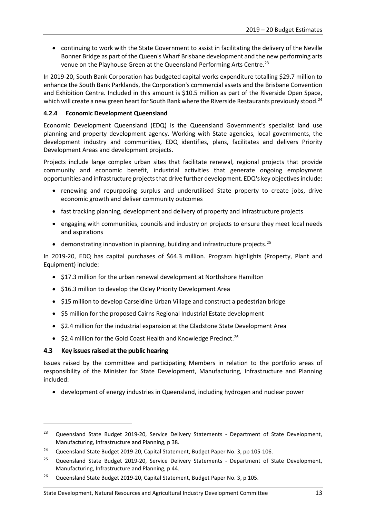• continuing to work with the State Government to assist in facilitating the delivery of the Neville Bonner Bridge as part of the Queen's Wharf Brisbane development and the new performing arts venue on the Playhouse Green at the Queensland Performing Arts Centre.<sup>[23](#page-16-2)</sup>

In 2019-20, South Bank Corporation has budgeted capital works expenditure totalling \$29.7 million to enhance the South Bank Parklands, the Corporation's commercial assets and the Brisbane Convention and Exhibition Centre. Included in this amount is \$10.5 million as part of the Riverside Open Space, which will create a new green heart for South Bank where the Riverside Restaurants previously stood.<sup>[24](#page-16-3)</sup>

# <span id="page-16-0"></span>**4.2.4 Economic Development Queensland**

Economic Development Queensland (EDQ) is the Queensland Government's specialist land use planning and property development agency. Working with State agencies, local governments, the development industry and communities, EDQ identifies, plans, facilitates and delivers Priority Development Areas and development projects.

Projects include large complex urban sites that facilitate renewal, regional projects that provide community and economic benefit, industrial activities that generate ongoing employment opportunities and infrastructure projects that drive further development. EDQ's key objectives include:

- renewing and repurposing surplus and underutilised State property to create jobs, drive economic growth and deliver community outcomes
- fast tracking planning, development and delivery of property and infrastructure projects
- engaging with communities, councils and industry on projects to ensure they meet local needs and aspirations
- demonstrating innovation in planning, building and infrastructure projects.<sup>[25](#page-16-4)</sup>

In 2019-20, EDQ has capital purchases of \$64.3 million. Program highlights (Property, Plant and Equipment) include:

- \$17.3 million for the urban renewal development at Northshore Hamilton
- \$16.3 million to develop the Oxley Priority Development Area
- \$15 million to develop Carseldine Urban Village and construct a pedestrian bridge
- \$5 million for the proposed Cairns Regional Industrial Estate development
- \$2.4 million for the industrial expansion at the Gladstone State Development Area
- \$2.4 million for the Gold Coast Health and Knowledge Precinct.<sup>[26](#page-16-5)</sup>

# <span id="page-16-1"></span>**4.3 Key issues raised at the public hearing**

1

Issues raised by the committee and participating Members in relation to the portfolio areas of responsibility of the Minister for State Development, Manufacturing, Infrastructure and Planning included:

• development of energy industries in Queensland, including hydrogen and nuclear power

<span id="page-16-2"></span><sup>&</sup>lt;sup>23</sup> Queensland State Budget 2019-20, Service Delivery Statements - Department of State Development, Manufacturing, Infrastructure and Planning, p 38.

<span id="page-16-3"></span><sup>&</sup>lt;sup>24</sup> Queensland State Budget 2019-20, Capital Statement, Budget Paper No. 3, pp 105-106.

<span id="page-16-4"></span><sup>&</sup>lt;sup>25</sup> Queensland State Budget 2019-20, Service Delivery Statements - Department of State Development, Manufacturing, Infrastructure and Planning, p 44.

<span id="page-16-5"></span><sup>&</sup>lt;sup>26</sup> Queensland State Budget 2019-20, Capital Statement, Budget Paper No. 3, p 105.

State Development, Natural Resources and Agricultural Industry Development Committee 13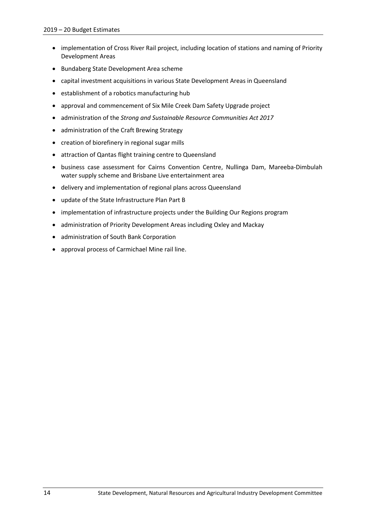- implementation of Cross River Rail project, including location of stations and naming of Priority Development Areas
- Bundaberg State Development Area scheme
- capital investment acquisitions in various State Development Areas in Queensland
- establishment of a robotics manufacturing hub
- approval and commencement of Six Mile Creek Dam Safety Upgrade project
- administration of the *Strong and Sustainable Resource Communities Act 2017*
- administration of the Craft Brewing Strategy
- creation of biorefinery in regional sugar mills
- attraction of Qantas flight training centre to Queensland
- business case assessment for Cairns Convention Centre, Nullinga Dam, Mareeba-Dimbulah water supply scheme and Brisbane Live entertainment area
- delivery and implementation of regional plans across Queensland
- update of the State Infrastructure Plan Part B
- implementation of infrastructure projects under the Building Our Regions program
- administration of Priority Development Areas including Oxley and Mackay
- administration of South Bank Corporation
- approval process of Carmichael Mine rail line.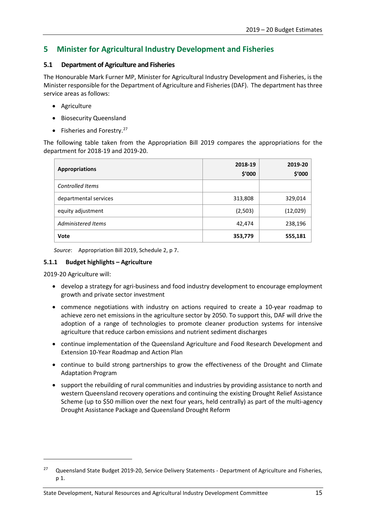# <span id="page-18-0"></span>**5 Minister for Agricultural Industry Development and Fisheries**

# <span id="page-18-1"></span>**5.1 Department of Agriculture and Fisheries**

The Honourable Mark Furner MP, Minister for Agricultural Industry Development and Fisheries, is the Minister responsible for the Department of Agriculture and Fisheries(DAF). The department has three service areas as follows:

- Agriculture
- Biosecurity Queensland
- Fisheries and Forestry.<sup>[27](#page-18-3)</sup>

The following table taken from the Appropriation Bill 2019 compares the appropriations for the department for 2018-19 and 2019-20.

| <b>Appropriations</b> | 2018-19<br>\$'000 | 2019-20<br>\$'000 |
|-----------------------|-------------------|-------------------|
| Controlled Items      |                   |                   |
| departmental services | 313,808           | 329,014           |
| equity adjustment     | (2,503)           | (12,029)          |
| Administered Items    | 42,474            | 238,196           |
| Vote                  | 353,779           | 555,181           |

*Source*: Appropriation Bill 2019, Schedule 2, p 7.

## <span id="page-18-2"></span>**5.1.1 Budget highlights – Agriculture**

2019-20 Agriculture will:

**.** 

- develop a strategy for agri-business and food industry development to encourage employment growth and private sector investment
- commence negotiations with industry on actions required to create a 10-year roadmap to achieve zero net emissions in the agriculture sector by 2050. To support this, DAF will drive the adoption of a range of technologies to promote cleaner production systems for intensive agriculture that reduce carbon emissions and nutrient sediment discharges
- continue implementation of the Queensland Agriculture and Food Research Development and Extension 10-Year Roadmap and Action Plan
- continue to build strong partnerships to grow the effectiveness of the Drought and Climate Adaptation Program
- support the rebuilding of rural communities and industries by providing assistance to north and western Queensland recovery operations and continuing the existing Drought Relief Assistance Scheme (up to \$50 million over the next four years, held centrally) as part of the multi-agency Drought Assistance Package and Queensland Drought Reform

<span id="page-18-3"></span><sup>&</sup>lt;sup>27</sup> Queensland State Budget 2019-20, Service Delivery Statements - Department of Agriculture and Fisheries, p 1.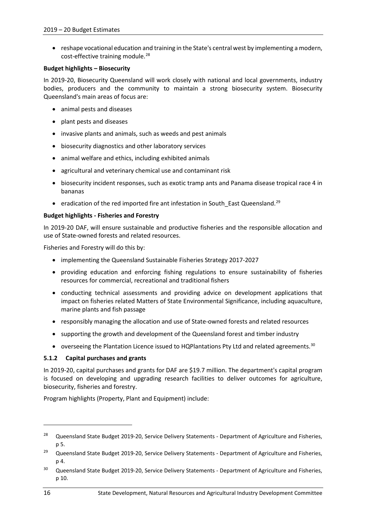• reshape vocational education and training in the State's central west by implementing a modern, cost-effective training module.<sup>[28](#page-19-1)</sup>

#### **Budget highlights – Biosecurity**

In 2019-20, Biosecurity Queensland will work closely with national and local governments, industry bodies, producers and the community to maintain a strong biosecurity system. Biosecurity Queensland's main areas of focus are:

- animal pests and diseases
- plant pests and diseases
- invasive plants and animals, such as weeds and pest animals
- biosecurity diagnostics and other laboratory services
- animal welfare and ethics, including exhibited animals
- agricultural and veterinary chemical use and contaminant risk
- biosecurity incident responses, such as exotic tramp ants and Panama disease tropical race 4 in bananas
- eradication of the red imported fire ant infestation in South\_East Queensland.<sup>[29](#page-19-2)</sup>

#### **Budget highlights - Fisheries and Forestry**

In 2019-20 DAF, will ensure sustainable and productive fisheries and the responsible allocation and use of State-owned forests and related resources.

Fisheries and Forestry will do this by:

- implementing the Queensland Sustainable Fisheries Strategy 2017-2027
- providing education and enforcing fishing regulations to ensure sustainability of fisheries resources for commercial, recreational and traditional fishers
- conducting technical assessments and providing advice on development applications that impact on fisheries related Matters of State Environmental Significance, including aquaculture, marine plants and fish passage
- responsibly managing the allocation and use of State-owned forests and related resources
- supporting the growth and development of the Queensland forest and timber industry
- overseeing the Plantation Licence issued to HQPlantations Pty Ltd and related agreements.<sup>[30](#page-19-3)</sup>

#### <span id="page-19-0"></span>**5.1.2 Capital purchases and grants**

In 2019-20, capital purchases and grants for DAF are \$19.7 million. The department's capital program is focused on developing and upgrading research facilities to deliver outcomes for agriculture, biosecurity, fisheries and forestry.

Program highlights (Property, Plant and Equipment) include:

 $\overline{a}$ 

<span id="page-19-1"></span><sup>&</sup>lt;sup>28</sup> Queensland State Budget 2019-20, Service Delivery Statements - Department of Agriculture and Fisheries, p 5.

<span id="page-19-2"></span><sup>&</sup>lt;sup>29</sup> Queensland State Budget 2019-20, Service Delivery Statements - Department of Agriculture and Fisheries, p 4.

<span id="page-19-3"></span><sup>&</sup>lt;sup>30</sup> Queensland State Budget 2019-20, Service Delivery Statements - Department of Agriculture and Fisheries, p 10.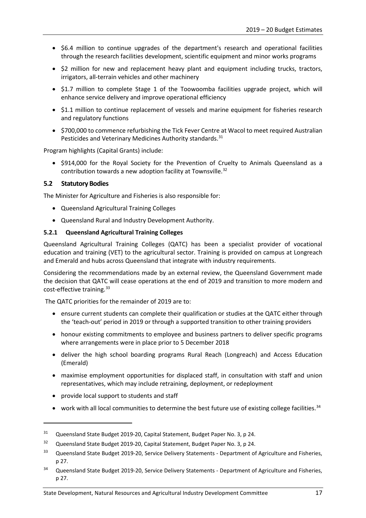- \$6.4 million to continue upgrades of the department's research and operational facilities through the research facilities development, scientific equipment and minor works programs
- \$2 million for new and replacement heavy plant and equipment including trucks, tractors, irrigators, all-terrain vehicles and other machinery
- \$1.7 million to complete Stage 1 of the Toowoomba facilities upgrade project, which will enhance service delivery and improve operational efficiency
- \$1.1 million to continue replacement of vessels and marine equipment for fisheries research and regulatory functions
- \$700,000 to commence refurbishing the Tick Fever Centre at Wacol to meet required Australian Pesticides and Veterinary Medicines Authority standards.<sup>[31](#page-20-2)</sup>

Program highlights (Capital Grants) include:

• \$914,000 for the Royal Society for the Prevention of Cruelty to Animals Queensland as a contribution towards a new adoption facility at Townsville.<sup>[32](#page-20-3)</sup>

#### <span id="page-20-0"></span>**5.2 Statutory Bodies**

The Minister for Agriculture and Fisheries is also responsible for:

- Queensland Agricultural Training Colleges
- Queensland Rural and Industry Development Authority.

#### <span id="page-20-1"></span>**5.2.1 Queensland Agricultural Training Colleges**

Queensland Agricultural Training Colleges (QATC) has been a specialist provider of vocational education and training (VET) to the agricultural sector. Training is provided on campus at Longreach and Emerald and hubs across Queensland that integrate with industry requirements.

Considering the recommendations made by an external review, the Queensland Government made the decision that QATC will cease operations at the end of 2019 and transition to more modern and cost-effective training.<sup>[33](#page-20-4)</sup>

The QATC priorities for the remainder of 2019 are to:

- ensure current students can complete their qualification or studies at the QATC either through the 'teach-out' period in 2019 or through a supported transition to other training providers
- honour existing commitments to employee and business partners to deliver specific programs where arrangements were in place prior to 5 December 2018
- deliver the high school boarding programs Rural Reach (Longreach) and Access Education (Emerald)
- maximise employment opportunities for displaced staff, in consultation with staff and union representatives, which may include retraining, deployment, or redeployment
- provide local support to students and staff

1

• work with all local communities to determine the best future use of existing college facilities.  $34$ 

<span id="page-20-2"></span><sup>&</sup>lt;sup>31</sup> Queensland State Budget 2019-20, Capital Statement, Budget Paper No. 3, p 24.

<span id="page-20-3"></span><sup>&</sup>lt;sup>32</sup> Queensland State Budget 2019-20, Capital Statement, Budget Paper No. 3, p 24.

<span id="page-20-4"></span><sup>&</sup>lt;sup>33</sup> Queensland State Budget 2019-20, Service Delivery Statements - Department of Agriculture and Fisheries, p 27.

<span id="page-20-5"></span><sup>&</sup>lt;sup>34</sup> Queensland State Budget 2019-20, Service Delivery Statements - Department of Agriculture and Fisheries, p 27.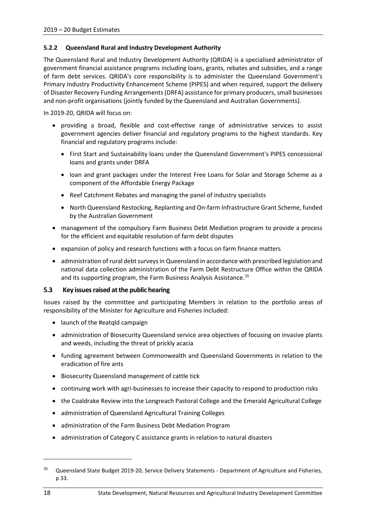## <span id="page-21-0"></span>**5.2.2 Queensland Rural and Industry Development Authority**

The Queensland Rural and Industry Development Authority (QRIDA) is a specialised administrator of government financial assistance programs including loans, grants, rebates and subsidies, and a range of farm debt services. QRIDA's core responsibility is to administer the Queensland Government's Primary Industry Productivity Enhancement Scheme (PIPES) and when required, support the delivery of Disaster Recovery Funding Arrangements (DRFA) assistance for primary producers, small businesses and non-profit organisations (jointly funded by the Queensland and Australian Governments).

In 2019-20, QRIDA will focus on:

- providing a broad, flexible and cost-effective range of administrative services to assist government agencies deliver financial and regulatory programs to the highest standards. Key financial and regulatory programs include:
	- First Start and Sustainability loans under the Queensland Government's PIPES concessional loans and grants under DRFA
	- loan and grant packages under the Interest Free Loans for Solar and Storage Scheme as a component of the Affordable Energy Package
	- Reef Catchment Rebates and managing the panel of industry specialists
	- North Queensland Restocking, Replanting and On-farm Infrastructure Grant Scheme, funded by the Australian Government
- management of the compulsory Farm Business Debt Mediation program to provide a process for the efficient and equitable resolution of farm debt disputes
- expansion of policy and research functions with a focus on farm finance matters
- administration of rural debt surveys in Queensland in accordance with prescribed legislation and national data collection administration of the Farm Debt Restructure Office within the QRIDA and its supporting program, the Farm Business Analysis Assistance.<sup>[35](#page-21-2)</sup>

# <span id="page-21-1"></span>**5.3 Key issues raised at the public hearing**

Issues raised by the committee and participating Members in relation to the portfolio areas of responsibility of the Minister for Agriculture and Fisheries included:

- launch of the #eatqld campaign
- administration of Biosecurity Queensland service area objectives of focusing on invasive plants and weeds, including the threat of prickly acacia
- funding agreement between Commonwealth and Queensland Governments in relation to the eradication of fire ants
- Biosecurity Queensland management of cattle tick
- continuing work with agri-businesses to increase their capacity to respond to production risks
- the Coaldrake Review into the Longreach Pastoral College and the Emerald Agricultural College
- administration of Queensland Agricultural Training Colleges
- administration of the Farm Business Debt Mediation Program
- administration of Category C assistance grants in relation to natural disasters

**.** 

<span id="page-21-2"></span><sup>&</sup>lt;sup>35</sup> Queensland State Budget 2019-20, Service Delivery Statements - Department of Agriculture and Fisheries, p 33.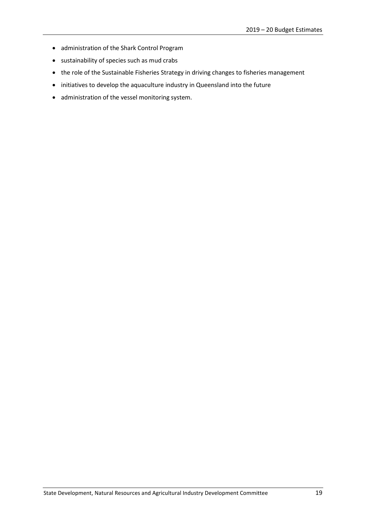- administration of the Shark Control Program
- sustainability of species such as mud crabs
- the role of the Sustainable Fisheries Strategy in driving changes to fisheries management
- initiatives to develop the aquaculture industry in Queensland into the future
- administration of the vessel monitoring system.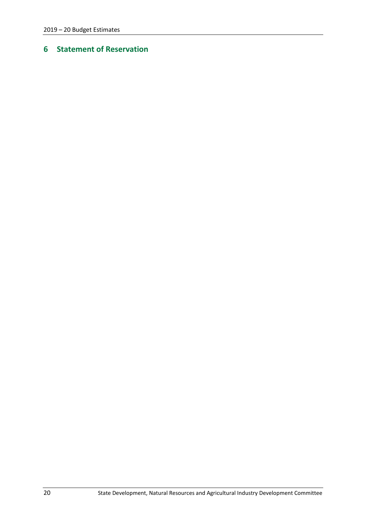# <span id="page-23-0"></span>**Statement of Reservation**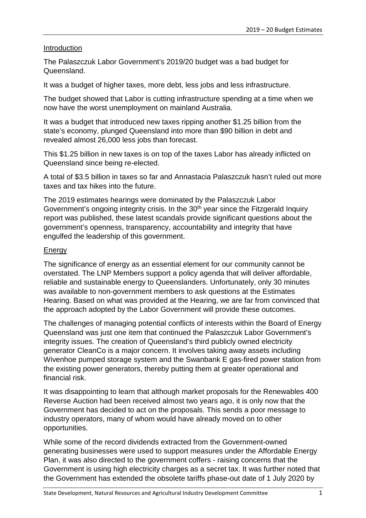# Introduction

The Palaszczuk Labor Government's 2019/20 budget was a bad budget for Queensland.

It was a budget of higher taxes, more debt, less jobs and less infrastructure.

The budget showed that Labor is cutting infrastructure spending at a time when we now have the worst unemployment on mainland Australia.

It was a budget that introduced new taxes ripping another \$1.25 billion from the state's economy, plunged Queensland into more than \$90 billion in debt and revealed almost 26,000 less jobs than forecast.

This \$1.25 billion in new taxes is on top of the taxes Labor has already inflicted on Queensland since being re-elected.

A total of \$3.5 billion in taxes so far and Annastacia Palaszczuk hasn't ruled out more taxes and tax hikes into the future.

The 2019 estimates hearings were dominated by the Palaszczuk Labor Government's ongoing integrity crisis. In the 30<sup>th</sup> year since the Fitzgerald Inquiry report was published, these latest scandals provide significant questions about the government's openness, transparency, accountability and integrity that have engulfed the leadership of this government.

# Energy

The significance of energy as an essential element for our community cannot be overstated. The LNP Members support a policy agenda that will deliver affordable, reliable and sustainable energy to Queenslanders. Unfortunately, only 30 minutes was available to non-government members to ask questions at the Estimates Hearing. Based on what was provided at the Hearing, we are far from convinced that the approach adopted by the Labor Government will provide these outcomes.

The challenges of managing potential conflicts of interests within the Board of Energy Queensland was just one item that continued the Palaszczuk Labor Government's integrity issues. The creation of Queensland's third publicly owned electricity generator CleanCo is a major concern. It involves taking away assets including Wivenhoe pumped storage system and the Swanbank E gas-fired power station from the existing power generators, thereby putting them at greater operational and financial risk.

It was disappointing to learn that although market proposals for the Renewables 400 Reverse Auction had been received almost two years ago, it is only now that the Government has decided to act on the proposals. This sends a poor message to industry operators, many of whom would have already moved on to other opportunities.

While some of the record dividends extracted from the Government-owned generating businesses were used to support measures under the Affordable Energy Plan, it was also directed to the government coffers - raising concerns that the Government is using high electricity charges as a secret tax. It was further noted that the Government has extended the obsolete tariffs phase-out date of 1 July 2020 by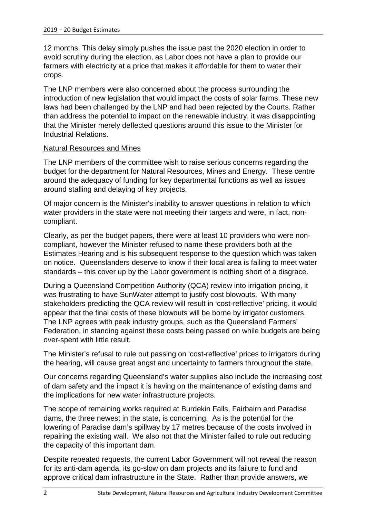12 months. This delay simply pushes the issue past the 2020 election in order to avoid scrutiny during the election, as Labor does not have a plan to provide our farmers with electricity at a price that makes it affordable for them to water their crops.

The LNP members were also concerned about the process surrounding the introduction of new legislation that would impact the costs of solar farms. These new laws had been challenged by the LNP and had been rejected by the Courts. Rather than address the potential to impact on the renewable industry, it was disappointing that the Minister merely deflected questions around this issue to the Minister for Industrial Relations.

# Natural Resources and Mines

The LNP members of the committee wish to raise serious concerns regarding the budget for the department for Natural Resources, Mines and Energy. These centre around the adequacy of funding for key departmental functions as well as issues around stalling and delaying of key projects.

Of major concern is the Minister's inability to answer questions in relation to which water providers in the state were not meeting their targets and were, in fact, noncompliant.

Clearly, as per the budget papers, there were at least 10 providers who were noncompliant, however the Minister refused to name these providers both at the Estimates Hearing and is his subsequent response to the question which was taken on notice. Queenslanders deserve to know if their local area is failing to meet water standards – this cover up by the Labor government is nothing short of a disgrace.

During a Queensland Competition Authority (QCA) review into irrigation pricing, it was frustrating to have SunWater attempt to justify cost blowouts. With many stakeholders predicting the QCA review will result in 'cost-reflective' pricing, it would appear that the final costs of these blowouts will be borne by irrigator customers. The LNP agrees with peak industry groups, such as the Queensland Farmers' Federation, in standing against these costs being passed on while budgets are being over-spent with little result.

The Minister's refusal to rule out passing on 'cost-reflective' prices to irrigators during the hearing, will cause great angst and uncertainty to farmers throughout the state.

Our concerns regarding Queensland's water supplies also include the increasing cost of dam safety and the impact it is having on the maintenance of existing dams and the implications for new water infrastructure projects.

The scope of remaining works required at Burdekin Falls, Fairbairn and Paradise dams, the three newest in the state, is concerning. As is the potential for the lowering of Paradise dam's spillway by 17 metres because of the costs involved in repairing the existing wall. We also not that the Minister failed to rule out reducing the capacity of this important dam.

Despite repeated requests, the current Labor Government will not reveal the reason for its anti-dam agenda, its go-slow on dam projects and its failure to fund and approve critical dam infrastructure in the State. Rather than provide answers, we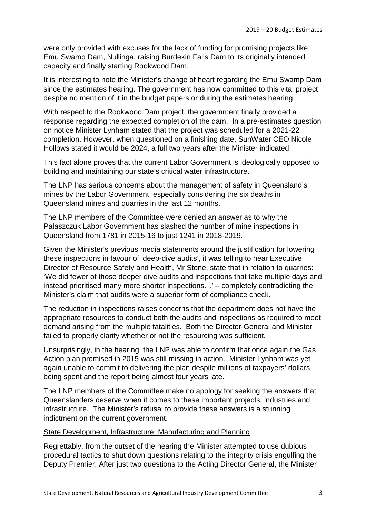were only provided with excuses for the lack of funding for promising projects like Emu Swamp Dam, Nullinga, raising Burdekin Falls Dam to its originally intended capacity and finally starting Rookwood Dam.

It is interesting to note the Minister's change of heart regarding the Emu Swamp Dam since the estimates hearing. The government has now committed to this vital project despite no mention of it in the budget papers or during the estimates hearing.

With respect to the Rookwood Dam project, the government finally provided a response regarding the expected completion of the dam. In a pre-estimates question on notice Minister Lynham stated that the project was scheduled for a 2021-22 completion. However, when questioned on a finishing date, SunWater CEO Nicole Hollows stated it would be 2024, a full two years after the Minister indicated.

This fact alone proves that the current Labor Government is ideologically opposed to building and maintaining our state's critical water infrastructure.

The LNP has serious concerns about the management of safety in Queensland's mines by the Labor Government, especially considering the six deaths in Queensland mines and quarries in the last 12 months.

The LNP members of the Committee were denied an answer as to why the Palaszczuk Labor Government has slashed the number of mine inspections in Queensland from 1781 in 2015-16 to just 1241 in 2018-2019.

Given the Minister's previous media statements around the justification for lowering these inspections in favour of 'deep-dive audits', it was telling to hear Executive Director of Resource Safety and Health, Mr Stone, state that in relation to quarries: 'We did fewer of those deeper dive audits and inspections that take multiple days and instead prioritised many more shorter inspections…' – completely contradicting the Minister's claim that audits were a superior form of compliance check.

The reduction in inspections raises concerns that the department does not have the appropriate resources to conduct both the audits and inspections as required to meet demand arising from the multiple fatalities. Both the Director-General and Minister failed to properly clarify whether or not the resourcing was sufficient.

Unsurprisingly, in the hearing, the LNP was able to confirm that once again the Gas Action plan promised in 2015 was still missing in action. Minister Lynham was yet again unable to commit to delivering the plan despite millions of taxpayers' dollars being spent and the report being almost four years late.

The LNP members of the Committee make no apology for seeking the answers that Queenslanders deserve when it comes to these important projects, industries and infrastructure. The Minister's refusal to provide these answers is a stunning indictment on the current government.

# State Development, Infrastructure, Manufacturing and Planning

Regrettably, from the outset of the hearing the Minister attempted to use dubious procedural tactics to shut down questions relating to the integrity crisis engulfing the Deputy Premier. After just two questions to the Acting Director General, the Minister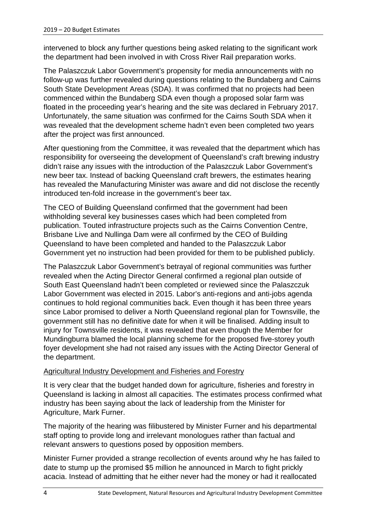intervened to block any further questions being asked relating to the significant work the department had been involved in with Cross River Rail preparation works.

The Palaszczuk Labor Government's propensity for media announcements with no follow-up was further revealed during questions relating to the Bundaberg and Cairns South State Development Areas (SDA). It was confirmed that no projects had been commenced within the Bundaberg SDA even though a proposed solar farm was floated in the proceeding year's hearing and the site was declared in February 2017. Unfortunately, the same situation was confirmed for the Cairns South SDA when it was revealed that the development scheme hadn't even been completed two years after the project was first announced.

After questioning from the Committee, it was revealed that the department which has responsibility for overseeing the development of Queensland's craft brewing industry didn't raise any issues with the introduction of the Palaszczuk Labor Government's new beer tax. Instead of backing Queensland craft brewers, the estimates hearing has revealed the Manufacturing Minister was aware and did not disclose the recently introduced ten-fold increase in the government's beer tax.

The CEO of Building Queensland confirmed that the government had been withholding several key businesses cases which had been completed from publication. Touted infrastructure projects such as the Cairns Convention Centre, Brisbane Live and Nullinga Dam were all confirmed by the CEO of Building Queensland to have been completed and handed to the Palaszczuk Labor Government yet no instruction had been provided for them to be published publicly.

The Palaszczuk Labor Government's betrayal of regional communities was further revealed when the Acting Director General confirmed a regional plan outside of South East Queensland hadn't been completed or reviewed since the Palaszczuk Labor Government was elected in 2015. Labor's anti-regions and anti-jobs agenda continues to hold regional communities back. Even though it has been three years since Labor promised to deliver a North Queensland regional plan for Townsville, the government still has no definitive date for when it will be finalised. Adding insult to injury for Townsville residents, it was revealed that even though the Member for Mundingburra blamed the local planning scheme for the proposed five-storey youth foyer development she had not raised any issues with the Acting Director General of the department.

# Agricultural Industry Development and Fisheries and Forestry

It is very clear that the budget handed down for agriculture, fisheries and forestry in Queensland is lacking in almost all capacities. The estimates process confirmed what industry has been saying about the lack of leadership from the Minister for Agriculture, Mark Furner.

The majority of the hearing was filibustered by Minister Furner and his departmental staff opting to provide long and irrelevant monologues rather than factual and relevant answers to questions posed by opposition members.

Minister Furner provided a strange recollection of events around why he has failed to date to stump up the promised \$5 million he announced in March to fight prickly acacia. Instead of admitting that he either never had the money or had it reallocated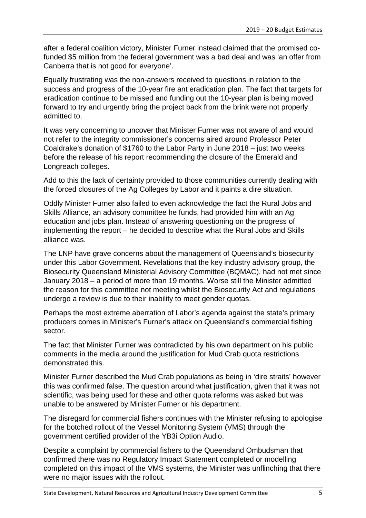after a federal coalition victory, Minister Furner instead claimed that the promised cofunded \$5 million from the federal government was a bad deal and was 'an offer from Canberra that is not good for everyone'.

Equally frustrating was the non-answers received to questions in relation to the success and progress of the 10-year fire ant eradication plan. The fact that targets for eradication continue to be missed and funding out the 10-year plan is being moved forward to try and urgently bring the project back from the brink were not properly admitted to.

It was very concerning to uncover that Minister Furner was not aware of and would not refer to the integrity commissioner's concerns aired around Professor Peter Coaldrake's donation of \$1760 to the Labor Party in June 2018 – just two weeks before the release of his report recommending the closure of the Emerald and Longreach colleges.

Add to this the lack of certainty provided to those communities currently dealing with the forced closures of the Ag Colleges by Labor and it paints a dire situation.

Oddly Minister Furner also failed to even acknowledge the fact the Rural Jobs and Skills Alliance, an advisory committee he funds, had provided him with an Ag education and jobs plan. Instead of answering questioning on the progress of implementing the report – he decided to describe what the Rural Jobs and Skills alliance was.

The LNP have grave concerns about the management of Queensland's biosecurity under this Labor Government. Revelations that the key industry advisory group, the Biosecurity Queensland Ministerial Advisory Committee (BQMAC), had not met since January 2018 – a period of more than 19 months. Worse still the Minister admitted the reason for this committee not meeting whilst the Biosecurity Act and regulations undergo a review is due to their inability to meet gender quotas.

Perhaps the most extreme aberration of Labor's agenda against the state's primary producers comes in Minister's Furner's attack on Queensland's commercial fishing sector.

The fact that Minister Furner was contradicted by his own department on his public comments in the media around the justification for Mud Crab quota restrictions demonstrated this.

Minister Furner described the Mud Crab populations as being in 'dire straits' however this was confirmed false. The question around what justification, given that it was not scientific, was being used for these and other quota reforms was asked but was unable to be answered by Minister Furner or his department.

The disregard for commercial fishers continues with the Minister refusing to apologise for the botched rollout of the Vessel Monitoring System (VMS) through the government certified provider of the YB3i Option Audio.

Despite a complaint by commercial fishers to the Queensland Ombudsman that confirmed there was no Regulatory Impact Statement completed or modelling completed on this impact of the VMS systems, the Minister was unflinching that there were no major issues with the rollout.